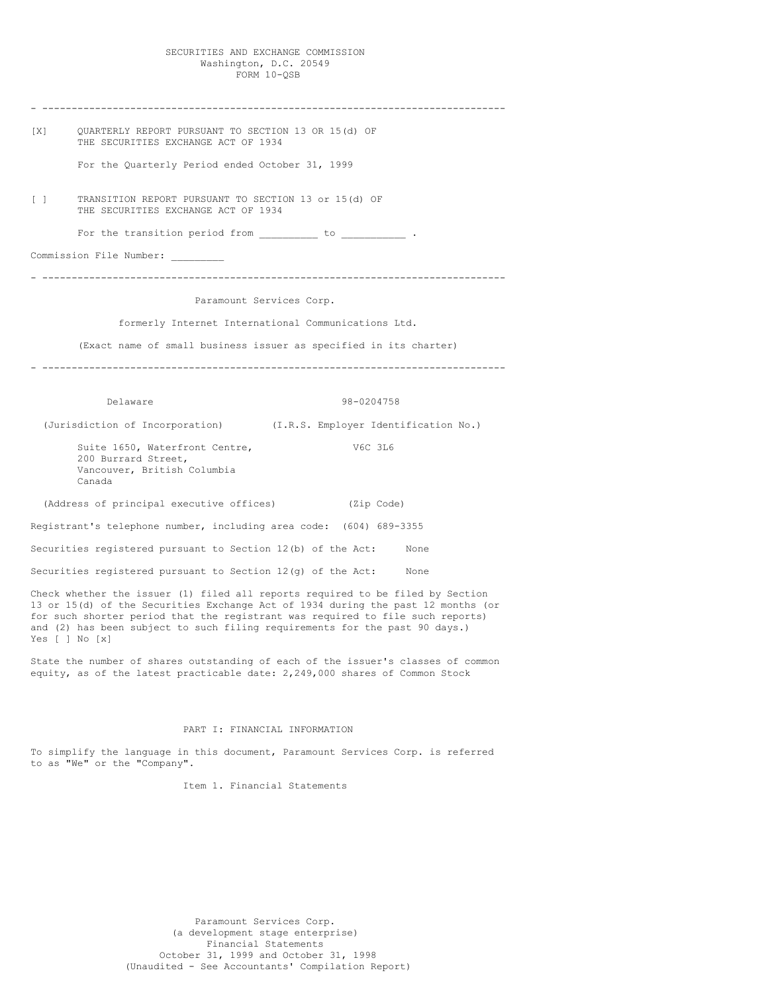### SECURITIES AND EXCHANGE COMMISSION Washington, D.C. 20549 FORM 10-QSB

| [X]    | OUARTERLY REPORT PURSUANT TO SECTION 13 OR 15(d) OF<br>THE SECURITIES EXCHANGE ACT OF 1934                                                                                                                                                                                                                                                                |
|--------|-----------------------------------------------------------------------------------------------------------------------------------------------------------------------------------------------------------------------------------------------------------------------------------------------------------------------------------------------------------|
|        | For the Quarterly Period ended October 31, 1999                                                                                                                                                                                                                                                                                                           |
| $\Box$ | TRANSITION REPORT PURSUANT TO SECTION 13 or 15(d) OF<br>THE SECURITIES EXCHANGE ACT OF 1934                                                                                                                                                                                                                                                               |
|        | For the transition period from to to the transition of the state of the state of the state of the state of the                                                                                                                                                                                                                                            |
|        | Commission File Number:                                                                                                                                                                                                                                                                                                                                   |
|        | Paramount Services Corp.                                                                                                                                                                                                                                                                                                                                  |
|        | formerly Internet International Communications Ltd.                                                                                                                                                                                                                                                                                                       |
|        |                                                                                                                                                                                                                                                                                                                                                           |
|        | (Exact name of small business issuer as specified in its charter)                                                                                                                                                                                                                                                                                         |
|        |                                                                                                                                                                                                                                                                                                                                                           |
|        | 98-0204758<br>Delaware                                                                                                                                                                                                                                                                                                                                    |
|        | (Jurisdiction of Incorporation) (I.R.S. Employer Identification No.)                                                                                                                                                                                                                                                                                      |
|        | Suite 1650, Waterfront Centre,<br>V6C 3L6<br>200 Burrard Street,<br>Vancouver, British Columbia<br>Canada                                                                                                                                                                                                                                                 |
|        | (Address of principal executive offices) (Zip Code)                                                                                                                                                                                                                                                                                                       |
|        | Registrant's telephone number, including area code: (604) 689-3355                                                                                                                                                                                                                                                                                        |
|        | Securities registered pursuant to Section 12(b) of the Act: None                                                                                                                                                                                                                                                                                          |
|        | Securities registered pursuant to Section $12(q)$ of the Act: None                                                                                                                                                                                                                                                                                        |
|        | Check whether the issuer (1) filed all reports required to be filed by Section<br>13 or 15(d) of the Securities Exchange Act of 1934 during the past 12 months (or<br>for such shorter period that the registrant was required to file such reports)<br>and (2) has been subject to such filing requirements for the past 90 days.)<br>Yes $[ ]$ No $[x]$ |
|        | State the number of shares outstanding of each of the issuer's classes of common                                                                                                                                                                                                                                                                          |

equity, as of the latest practicable date: 2,249,000 shares of Common Stock

# PART I: FINANCIAL INFORMATION

To simplify the language in this document, Paramount Services Corp. is referred to as "We" or the "Company".

Item 1. Financial Statements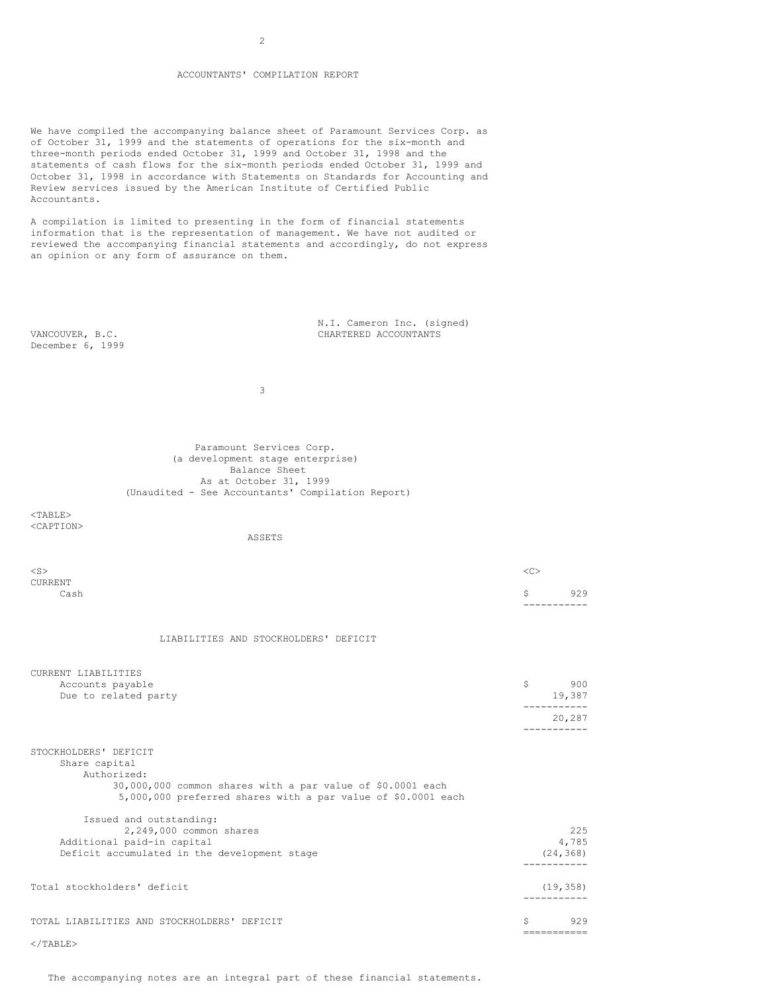### ACCOUNTANTS' COMPILATION REPORT

We have compiled the accompanying balance sheet of Paramount Services Corp. as of October 31, 1999 and the statements of operations for the six-month and three-month periods ended October 31, 1999 and October 31, 1998 and the statements of cash flows for the six-month periods ended October 31, 1999 and October 31, 1998 in accordance with Statements on Standards for Accounting and Review services issued by the American Institute of Certified Public Accountants.

A compilation is limited to presenting in the form of financial statements information that is the representation of management. We have not audited or reviewed the accompanying financial statements and accordingly, do not express an opinion or any form of assurance on them.

December 6, 1999

N.I. Cameron Inc. (signed) VANCOUVER, B.C. CHARTERED ACCOUNTANTS

3

Paramount Services Corp. (a development stage enterprise) Balance Sheet As at October 31, 1999 (Unaudited - See Accountants' Compilation Report)

 $<$ TABLE> <CAPTION>

ASSETS

| $<$ S $>$ |             |     |
|-----------|-------------|-----|
| CURRENT   |             |     |
| Cash      | S.          | 929 |
|           | ----------- |     |
|           |             |     |

### LIABILITIES AND STOCKHOLDERS' DEFICIT

| CURRENT LIABILITIES<br>Accounts payable<br>Due to related party                                                                                                                     | \$ | 900<br>19,387             |
|-------------------------------------------------------------------------------------------------------------------------------------------------------------------------------------|----|---------------------------|
|                                                                                                                                                                                     |    | 20,287                    |
| STOCKHOLDERS' DEFICIT<br>Share capital<br>Authorized:<br>30,000,000 common shares with a par value of \$0.0001 each<br>5,000,000 preferred shares with a par value of \$0.0001 each |    |                           |
| Issued and outstanding:<br>2,249,000 common shares<br>Additional paid-in capital<br>Deficit accumulated in the development stage                                                    |    | 225<br>4,785<br>(24, 368) |
| Total stockholders' deficit                                                                                                                                                         |    | (19, 358)                 |
| TOTAL LIABILITIES AND STOCKHOLDERS' DEFICIT                                                                                                                                         | Ŝ  | 929                       |
| $\langle$ /TABLE>                                                                                                                                                                   |    |                           |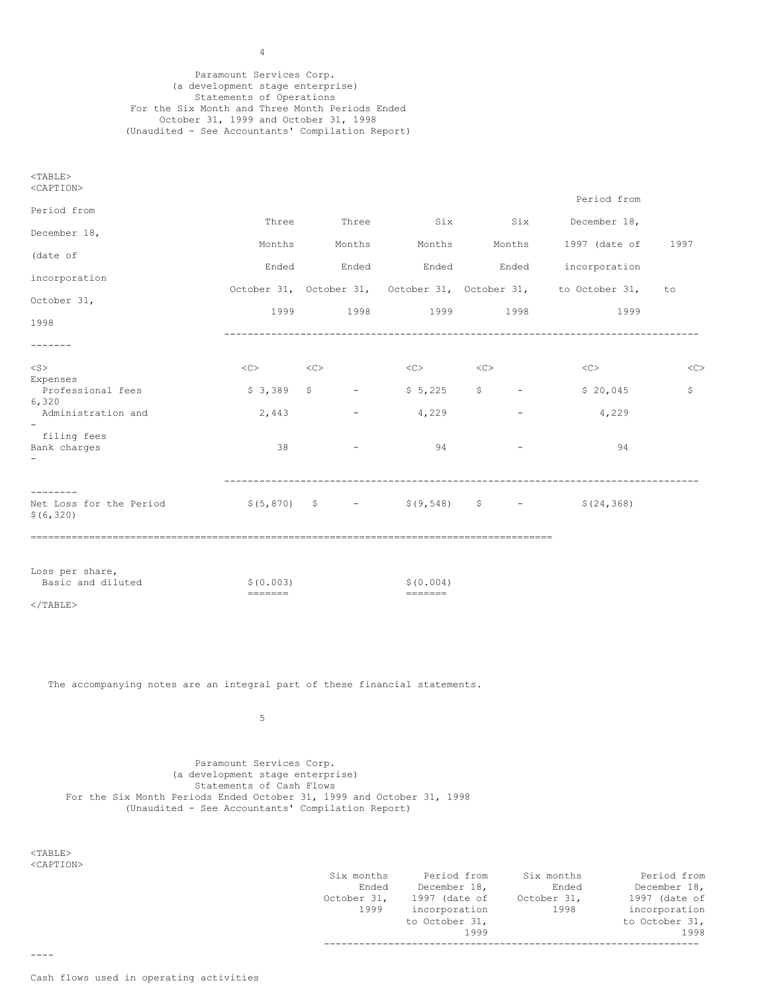Paramount Services Corp. (a development stage enterprise) Statements of Operations For the Six Month and Three Month Periods Ended October 31, 1999 and October 31, 1998 (Unaudited - See Accountants' Compilation Report)

| $<$ TABLE><br><caption></caption>                                          |                                                                                                                                                                                                                                                                                                                                                                                                                                                                                                                                   |                  |                                                                                                                                                                                                                                                                                                                                                                                                                                                                                                                                                                            |                        |                                                                                                    |      |
|----------------------------------------------------------------------------|-----------------------------------------------------------------------------------------------------------------------------------------------------------------------------------------------------------------------------------------------------------------------------------------------------------------------------------------------------------------------------------------------------------------------------------------------------------------------------------------------------------------------------------|------------------|----------------------------------------------------------------------------------------------------------------------------------------------------------------------------------------------------------------------------------------------------------------------------------------------------------------------------------------------------------------------------------------------------------------------------------------------------------------------------------------------------------------------------------------------------------------------------|------------------------|----------------------------------------------------------------------------------------------------|------|
| Period from                                                                |                                                                                                                                                                                                                                                                                                                                                                                                                                                                                                                                   |                  |                                                                                                                                                                                                                                                                                                                                                                                                                                                                                                                                                                            |                        | Period from                                                                                        |      |
| December 18,                                                               | Three                                                                                                                                                                                                                                                                                                                                                                                                                                                                                                                             |                  | Three Six                                                                                                                                                                                                                                                                                                                                                                                                                                                                                                                                                                  | Six                    | December 18,                                                                                       |      |
| (date of                                                                   | Months                                                                                                                                                                                                                                                                                                                                                                                                                                                                                                                            |                  | Months Months                                                                                                                                                                                                                                                                                                                                                                                                                                                                                                                                                              |                        | Months 1997 (date of                                                                               | 1997 |
| incorporation                                                              | Ended                                                                                                                                                                                                                                                                                                                                                                                                                                                                                                                             | Ended            |                                                                                                                                                                                                                                                                                                                                                                                                                                                                                                                                                                            | Ended Ended            | incorporation                                                                                      |      |
| October 31,                                                                |                                                                                                                                                                                                                                                                                                                                                                                                                                                                                                                                   |                  |                                                                                                                                                                                                                                                                                                                                                                                                                                                                                                                                                                            |                        | October 31, October 31, October 31, October 31, to October 31,                                     | to   |
| 1998                                                                       |                                                                                                                                                                                                                                                                                                                                                                                                                                                                                                                                   | 1999 1998 1998   |                                                                                                                                                                                                                                                                                                                                                                                                                                                                                                                                                                            | 1999 1998              | 1999                                                                                               |      |
| -------                                                                    |                                                                                                                                                                                                                                                                                                                                                                                                                                                                                                                                   |                  |                                                                                                                                                                                                                                                                                                                                                                                                                                                                                                                                                                            |                        |                                                                                                    |      |
| $<$ S $>$                                                                  | $\langle C \rangle$ $\langle C \rangle$                                                                                                                                                                                                                                                                                                                                                                                                                                                                                           |                  | $\langle C \rangle$ $\langle C \rangle$                                                                                                                                                                                                                                                                                                                                                                                                                                                                                                                                    |                        | $<<$ C $>$                                                                                         | <<   |
| Expenses<br>Professional fees                                              | \$3,389                                                                                                                                                                                                                                                                                                                                                                                                                                                                                                                           |                  | $\begin{array}{ccc} \xi & - & \xi & 5,225 & \xi \end{array}$                                                                                                                                                                                                                                                                                                                                                                                                                                                                                                               | and the company of the | \$20,045                                                                                           | \$   |
| 6,320<br>Administration and                                                | 2,443                                                                                                                                                                                                                                                                                                                                                                                                                                                                                                                             | $\sim$ 100 $\mu$ | 4,229                                                                                                                                                                                                                                                                                                                                                                                                                                                                                                                                                                      |                        | 4,229                                                                                              |      |
| filing fees<br>Bank charges                                                | 38                                                                                                                                                                                                                                                                                                                                                                                                                                                                                                                                |                  | 94                                                                                                                                                                                                                                                                                                                                                                                                                                                                                                                                                                         |                        | 94                                                                                                 |      |
| --------<br>Net Loss for the Period<br>\$ (6, 320)                         |                                                                                                                                                                                                                                                                                                                                                                                                                                                                                                                                   |                  |                                                                                                                                                                                                                                                                                                                                                                                                                                                                                                                                                                            |                        | $\frac{1}{2}$ (5,870) $\frac{1}{2}$ = $\frac{1}{2}$ (9,548) $\frac{1}{2}$ = $\frac{1}{2}$ (24,368) |      |
| Loss per share,<br>Basic and diluted                                       | \$ (0.003)<br>$\begin{tabular}{ll} \multicolumn{3}{l}{{\color{blue}\textbf{1}}}\\ \multicolumn{3}{l}{\color{blue}\textbf{2}}\\ \multicolumn{3}{l}{\color{blue}\textbf{2}}\\ \multicolumn{3}{l}{\color{blue}\textbf{3}}\\ \multicolumn{3}{l}{\color{blue}\textbf{4}}\\ \multicolumn{3}{l}{\color{blue}\textbf{4}}\\ \multicolumn{3}{l}{\color{blue}\textbf{5}}\\ \multicolumn{3}{l}{\color{blue}\textbf{5}}\\ \multicolumn{3}{l}{\color{blue}\textbf{5}}\\ \multicolumn{3}{l}{\color{blue}\textbf{6}}\\ \multicolumn{3}{l}{\color$ |                  | \$ (0.004)<br>$\begin{tabular}{ll} \multicolumn{3}{l}{{\color{red}\boldsymbol{z}}} & \multicolumn{3}{l}{\color{blue}\boldsymbol{z}} & \multicolumn{3}{l}{\color{blue}\boldsymbol{z}} \\ \multicolumn{3}{l}{\color{blue}\boldsymbol{z}} & \multicolumn{3}{l}{\color{blue}\boldsymbol{z}} & \multicolumn{3}{l}{\color{blue}\boldsymbol{z}} & \multicolumn{3}{l}{\color{blue}\boldsymbol{z}} \\ \multicolumn{3}{l}{\color{blue}\boldsymbol{z}} & \multicolumn{3}{l}{\color{blue}\boldsymbol{z}} & \multicolumn{3}{l}{\color{blue}\boldsymbol{z}} & \multicolumn{3}{l}{\color$ |                        |                                                                                                    |      |
| $<$ /TABLE>                                                                |                                                                                                                                                                                                                                                                                                                                                                                                                                                                                                                                   |                  |                                                                                                                                                                                                                                                                                                                                                                                                                                                                                                                                                                            |                        |                                                                                                    |      |
|                                                                            |                                                                                                                                                                                                                                                                                                                                                                                                                                                                                                                                   |                  |                                                                                                                                                                                                                                                                                                                                                                                                                                                                                                                                                                            |                        |                                                                                                    |      |
| The accompanying notes are an integral part of these financial statements. |                                                                                                                                                                                                                                                                                                                                                                                                                                                                                                                                   |                  |                                                                                                                                                                                                                                                                                                                                                                                                                                                                                                                                                                            |                        |                                                                                                    |      |
|                                                                            | 5                                                                                                                                                                                                                                                                                                                                                                                                                                                                                                                                 |                  |                                                                                                                                                                                                                                                                                                                                                                                                                                                                                                                                                                            |                        |                                                                                                    |      |
|                                                                            | Paramount Services Corp.<br>(a development stage enterprise)<br>Statements of Cash Flows                                                                                                                                                                                                                                                                                                                                                                                                                                          |                  |                                                                                                                                                                                                                                                                                                                                                                                                                                                                                                                                                                            |                        |                                                                                                    |      |

For the Six Month Periods Ended October 31, 1999 and October 31, 1998

(Unaudited - See Accountants' Compilation Report)

<TABLE> <CAPTION>

----

| Six months  | Period from     | Six months  | Period from    |  |  |
|-------------|-----------------|-------------|----------------|--|--|
| Ended       | December 18,    | Ended       | December 18,   |  |  |
| October 31, | $1997$ (date of | October 31, | 1997 (date of  |  |  |
| 1999        | incorporation   | 1998        | incorporation  |  |  |
|             | to October 31,  |             | to October 31, |  |  |
|             | 1999            |             | 1998           |  |  |
|             |                 |             |                |  |  |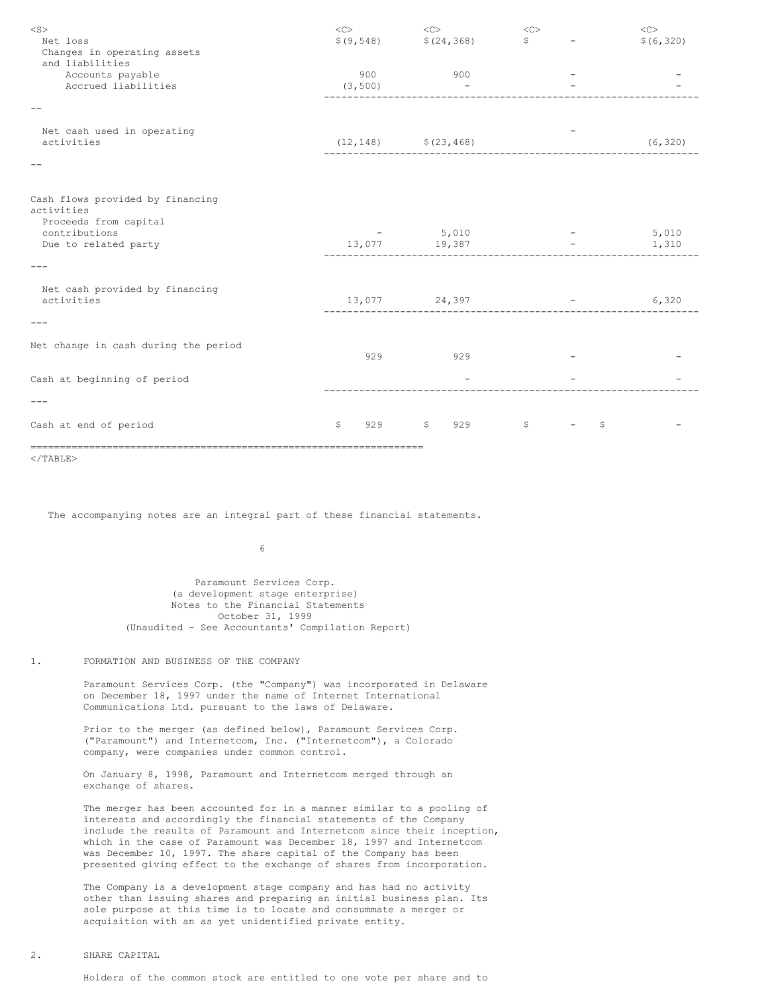| $<$ S $>$<br>Net loss<br>Changes in operating assets<br>and liabilities | <<              | $<\!\!\rm C\!\!>$<br>$$(9, 548)$ $$(24, 368)$ | $<\!\!\rm C\!\!>$<br>$\ddot{s}$    | <<<br>\$ (6, 320)                            |
|-------------------------------------------------------------------------|-----------------|-----------------------------------------------|------------------------------------|----------------------------------------------|
| Accounts payable<br>Accrued liabilities                                 | 900<br>(3, 500) | 900<br>$\overline{\phantom{a}}$               | _____________                      |                                              |
|                                                                         |                 |                                               |                                    |                                              |
| Net cash used in operating<br>activities                                |                 | $(12, 148)$ $(23, 468)$                       | __________________________________ | (6, 320)                                     |
|                                                                         |                 |                                               |                                    |                                              |
| Cash flows provided by financing<br>activities<br>Proceeds from capital |                 |                                               |                                    |                                              |
| contributions<br>Due to related party                                   |                 | $-5,010$<br>13,077 19,387                     |                                    | 5,010<br>the company's state of the<br>1,310 |
|                                                                         |                 |                                               |                                    |                                              |
| Net cash provided by financing<br>activities                            |                 | 13,077 24,397                                 | --------------------------------   | 6,320                                        |
|                                                                         |                 |                                               |                                    |                                              |
| Net change in cash during the period                                    | 929             | 929                                           |                                    |                                              |
| Cash at beginning of period                                             |                 |                                               |                                    |                                              |
|                                                                         |                 |                                               |                                    |                                              |
| Cash at end of period                                                   | \$<br>929       | $\mathsf{S}$<br>929                           | \$                                 | \$                                           |
| ___________________                                                     |                 |                                               |                                    |                                              |

 $<$ /TABLE>

The accompanying notes are an integral part of these financial statements.

6

Paramount Services Corp. (a development stage enterprise) Notes to the Financial Statements October 31, 1999 (Unaudited - See Accountants' Compilation Report)

## 1. FORMATION AND BUSINESS OF THE COMPANY

Paramount Services Corp. (the "Company") was incorporated in Delaware on December 18, 1997 under the name of Internet International Communications Ltd. pursuant to the laws of Delaware.

Prior to the merger (as defined below), Paramount Services Corp. ("Paramount") and Internetcom, Inc. ("Internetcom"), a Colorado company, were companies under common control.

On January 8, 1998, Paramount and Internetcom merged through an exchange of shares.

The merger has been accounted for in a manner similar to a pooling of interests and accordingly the financial statements of the Company include the results of Paramount and Internetcom since their inception, which in the case of Paramount was December 18, 1997 and Internetcom was December 10, 1997. The share capital of the Company has been presented giving effect to the exchange of shares from incorporation.

The Company is a development stage company and has had no activity other than issuing shares and preparing an initial business plan. Its sole purpose at this time is to locate and consummate a merger or acquisition with an as yet unidentified private entity.

#### 2. SHARE CAPITAL

Holders of the common stock are entitled to one vote per share and to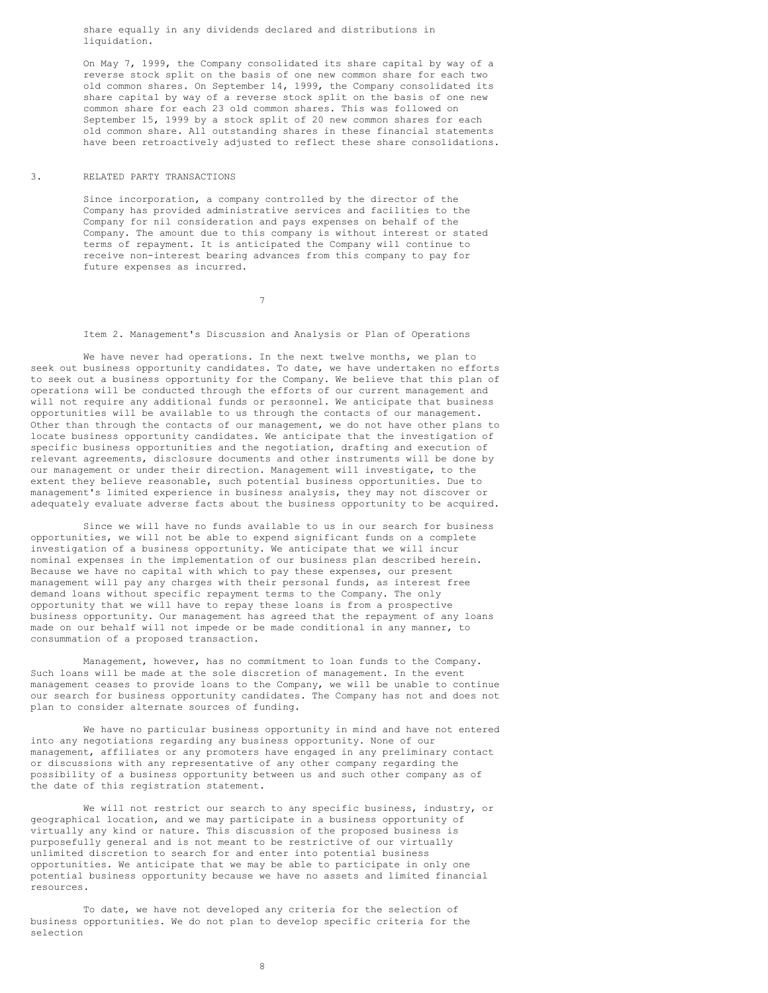share equally in any dividends declared and distributions in liquidation.

On May 7, 1999, the Company consolidated its share capital by way of a reverse stock split on the basis of one new common share for each two old common shares. On September 14, 1999, the Company consolidated its share capital by way of a reverse stock split on the basis of one new common share for each 23 old common shares. This was followed on September 15, 1999 by a stock split of 20 new common shares for each old common share. All outstanding shares in these financial statements have been retroactively adjusted to reflect these share consolidations.

#### 3. RELATED PARTY TRANSACTIONS

Since incorporation, a company controlled by the director of the Company has provided administrative services and facilities to the Company for nil consideration and pays expenses on behalf of the Company. The amount due to this company is without interest or stated terms of repayment. It is anticipated the Company will continue to receive non-interest bearing advances from this company to pay for future expenses as incurred.

7

Item 2. Management's Discussion and Analysis or Plan of Operations

We have never had operations. In the next twelve months, we plan to seek out business opportunity candidates. To date, we have undertaken no efforts to seek out a business opportunity for the Company. We believe that this plan of operations will be conducted through the efforts of our current management and will not require any additional funds or personnel. We anticipate that business opportunities will be available to us through the contacts of our management. Other than through the contacts of our management, we do not have other plans to locate business opportunity candidates. We anticipate that the investigation of specific business opportunities and the negotiation, drafting and execution of relevant agreements, disclosure documents and other instruments will be done by our management or under their direction. Management will investigate, to the extent they believe reasonable, such potential business opportunities. Due to management's limited experience in business analysis, they may not discover or adequately evaluate adverse facts about the business opportunity to be acquired.

Since we will have no funds available to us in our search for business opportunities, we will not be able to expend significant funds on a complete investigation of a business opportunity. We anticipate that we will incur nominal expenses in the implementation of our business plan described herein. Because we have no capital with which to pay these expenses, our present management will pay any charges with their personal funds, as interest free demand loans without specific repayment terms to the Company. The only opportunity that we will have to repay these loans is from a prospective business opportunity. Our management has agreed that the repayment of any loans made on our behalf will not impede or be made conditional in any manner, to consummation of a proposed transaction.

Management, however, has no commitment to loan funds to the Company. Such loans will be made at the sole discretion of management. In the event management ceases to provide loans to the Company, we will be unable to continue our search for business opportunity candidates. The Company has not and does not plan to consider alternate sources of funding.

We have no particular business opportunity in mind and have not entered into any negotiations regarding any business opportunity. None of our management, affiliates or any promoters have engaged in any preliminary contact or discussions with any representative of any other company regarding the possibility of a business opportunity between us and such other company as of the date of this registration statement.

We will not restrict our search to any specific business, industry, or geographical location, and we may participate in a business opportunity of virtually any kind or nature. This discussion of the proposed business is purposefully general and is not meant to be restrictive of our virtually unlimited discretion to search for and enter into potential business opportunities. We anticipate that we may be able to participate in only one potential business opportunity because we have no assets and limited financial resources.

To date, we have not developed any criteria for the selection of business opportunities. We do not plan to develop specific criteria for the selection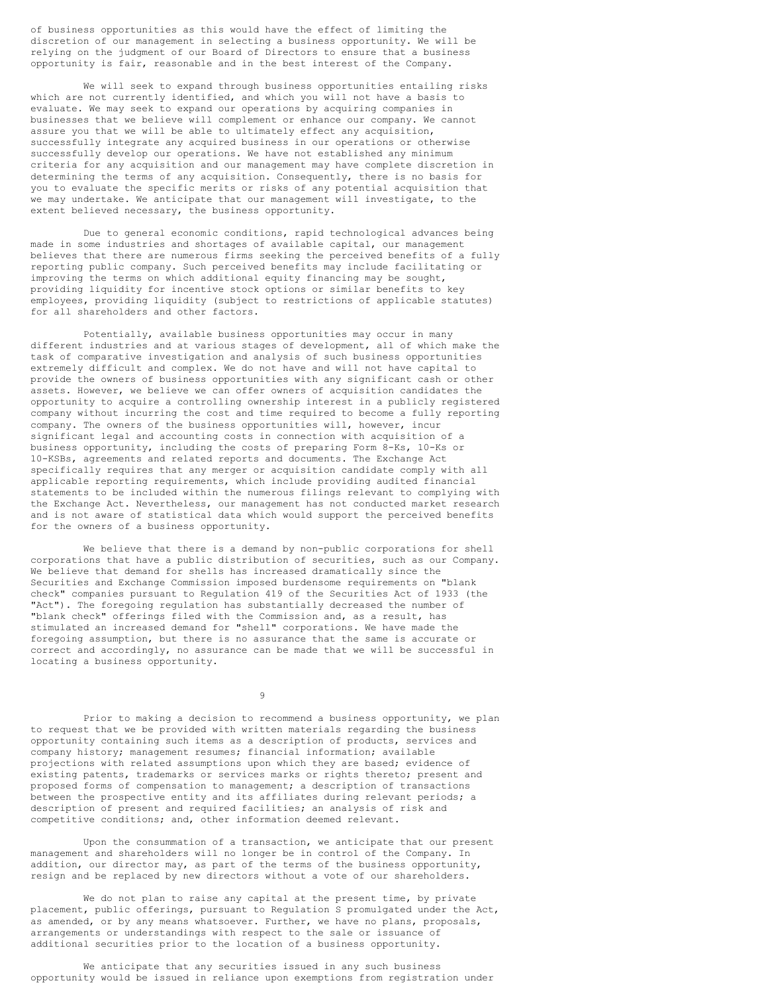of business opportunities as this would have the effect of limiting the discretion of our management in selecting a business opportunity. We will be relying on the judgment of our Board of Directors to ensure that a business opportunity is fair, reasonable and in the best interest of the Company.

We will seek to expand through business opportunities entailing risks which are not currently identified, and which you will not have a basis to evaluate. We may seek to expand our operations by acquiring companies in businesses that we believe will complement or enhance our company. We cannot assure you that we will be able to ultimately effect any acquisition, successfully integrate any acquired business in our operations or otherwise successfully develop our operations. We have not established any minimum criteria for any acquisition and our management may have complete discretion in determining the terms of any acquisition. Consequently, there is no basis for you to evaluate the specific merits or risks of any potential acquisition that we may undertake. We anticipate that our management will investigate, to the extent believed necessary, the business opportunity.

Due to general economic conditions, rapid technological advances being made in some industries and shortages of available capital, our management believes that there are numerous firms seeking the perceived benefits of a fully reporting public company. Such perceived benefits may include facilitating or improving the terms on which additional equity financing may be sought, providing liquidity for incentive stock options or similar benefits to key employees, providing liquidity (subject to restrictions of applicable statutes) for all shareholders and other factors.

Potentially, available business opportunities may occur in many different industries and at various stages of development, all of which make the task of comparative investigation and analysis of such business opportunities extremely difficult and complex. We do not have and will not have capital to provide the owners of business opportunities with any significant cash or other assets. However, we believe we can offer owners of acquisition candidates the opportunity to acquire a controlling ownership interest in a publicly registered company without incurring the cost and time required to become a fully reporting company. The owners of the business opportunities will, however, incur significant legal and accounting costs in connection with acquisition of a business opportunity, including the costs of preparing Form 8-Ks, 10-Ks or 10-KSBs, agreements and related reports and documents. The Exchange Act specifically requires that any merger or acquisition candidate comply with all applicable reporting requirements, which include providing audited financial statements to be included within the numerous filings relevant to complying with the Exchange Act. Nevertheless, our management has not conducted market research and is not aware of statistical data which would support the perceived benefits for the owners of a business opportunity.

We believe that there is a demand by non-public corporations for shell corporations that have a public distribution of securities, such as our Company. We believe that demand for shells has increased dramatically since the Securities and Exchange Commission imposed burdensome requirements on "blank check" companies pursuant to Regulation 419 of the Securities Act of 1933 (the "Act"). The foregoing regulation has substantially decreased the number of "blank check" offerings filed with the Commission and, as a result, has stimulated an increased demand for "shell" corporations. We have made the foregoing assumption, but there is no assurance that the same is accurate or correct and accordingly, no assurance can be made that we will be successful in locating a business opportunity.

9

Prior to making a decision to recommend a business opportunity, we plan to request that we be provided with written materials regarding the business opportunity containing such items as a description of products, services and company history; management resumes; financial information; available projections with related assumptions upon which they are based; evidence of existing patents, trademarks or services marks or rights thereto; present and proposed forms of compensation to management; a description of transactions between the prospective entity and its affiliates during relevant periods; a description of present and required facilities; an analysis of risk and competitive conditions; and, other information deemed relevant.

Upon the consummation of a transaction, we anticipate that our present management and shareholders will no longer be in control of the Company. In addition, our director may, as part of the terms of the business opportunity, resign and be replaced by new directors without a vote of our shareholders.

We do not plan to raise any capital at the present time, by private placement, public offerings, pursuant to Regulation S promulgated under the Act, as amended, or by any means whatsoever. Further, we have no plans, proposals, arrangements or understandings with respect to the sale or issuance of additional securities prior to the location of a business opportunity.

We anticipate that any securities issued in any such business opportunity would be issued in reliance upon exemptions from registration under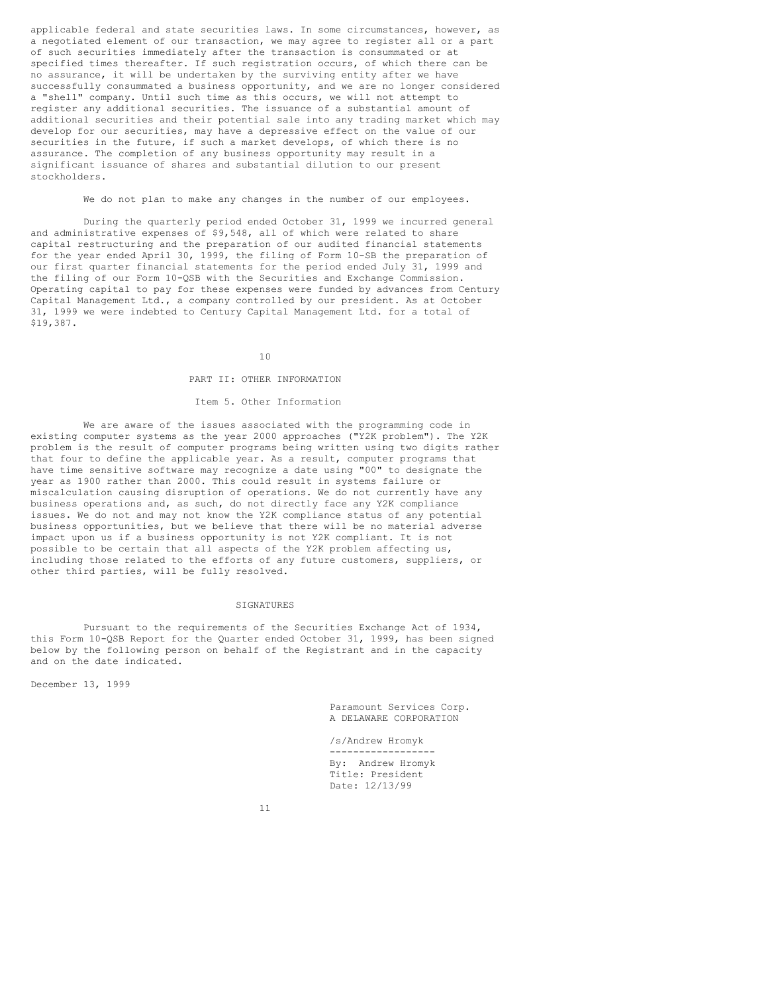applicable federal and state securities laws. In some circumstances, however, as a negotiated element of our transaction, we may agree to register all or a part of such securities immediately after the transaction is consummated or at specified times thereafter. If such registration occurs, of which there can be no assurance, it will be undertaken by the surviving entity after we have successfully consummated a business opportunity, and we are no longer considered a "shell" company. Until such time as this occurs, we will not attempt to register any additional securities. The issuance of a substantial amount of additional securities and their potential sale into any trading market which may develop for our securities, may have a depressive effect on the value of our securities in the future, if such a market develops, of which there is no assurance. The completion of any business opportunity may result in a significant issuance of shares and substantial dilution to our present stockholders.

We do not plan to make any changes in the number of our employees.

During the quarterly period ended October 31, 1999 we incurred general and administrative expenses of \$9,548, all of which were related to share capital restructuring and the preparation of our audited financial statements for the year ended April 30, 1999, the filing of Form 10-SB the preparation of our first quarter financial statements for the period ended July 31, 1999 and the filing of our Form 10-QSB with the Securities and Exchange Commission. Operating capital to pay for these expenses were funded by advances from Century Capital Management Ltd., a company controlled by our president. As at October 31, 1999 we were indebted to Century Capital Management Ltd. for a total of \$19,387.

#### 10

#### PART II: OTHER INFORMATION

#### Item 5. Other Information

We are aware of the issues associated with the programming code in existing computer systems as the year 2000 approaches ("Y2K problem"). The Y2K problem is the result of computer programs being written using two digits rather that four to define the applicable year. As a result, computer programs that have time sensitive software may recognize a date using "00" to designate the year as 1900 rather than 2000. This could result in systems failure or miscalculation causing disruption of operations. We do not currently have any business operations and, as such, do not directly face any Y2K compliance issues. We do not and may not know the Y2K compliance status of any potential business opportunities, but we believe that there will be no material adverse impact upon us if a business opportunity is not Y2K compliant. It is not possible to be certain that all aspects of the Y2K problem affecting us, including those related to the efforts of any future customers, suppliers, or other third parties, will be fully resolved.

#### SIGNATURES

Pursuant to the requirements of the Securities Exchange Act of 1934, this Form 10-QSB Report for the Quarter ended October 31, 1999, has been signed below by the following person on behalf of the Registrant and in the capacity and on the date indicated.

December 13, 1999

Paramount Services Corp. A DELAWARE CORPORATION

/s/Andrew Hromyk ------------------ By: Andrew Hromyk Title: President Date: 12/13/99